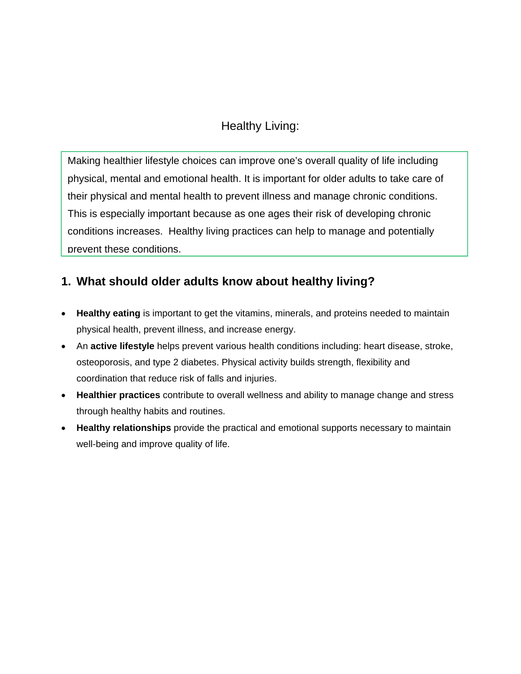## Healthy Living:

Making healthier lifestyle choices can improve one's overall quality of life including physical, mental and emotional health. It is important for older adults to take care of their physical and mental health to prevent illness and manage chronic conditions. This is especially important because as one ages their risk of developing chronic conditions increases. Healthy living practices can help to manage and potentially prevent these conditions.

### **1. What should older adults know about healthy living?**

- **Healthy eating** is important to get the vitamins, minerals, and proteins needed to maintain physical health, prevent illness, and increase energy.
- An **active lifestyle** helps prevent various health conditions including: heart disease, stroke, osteoporosis, and type 2 diabetes. Physical activity builds strength, flexibility and coordination that reduce risk of falls and injuries.
- **Healthier practices** contribute to overall wellness and ability to manage change and stress through healthy habits and routines.
- **Healthy relationships** provide the practical and emotional supports necessary to maintain well-being and improve quality of life.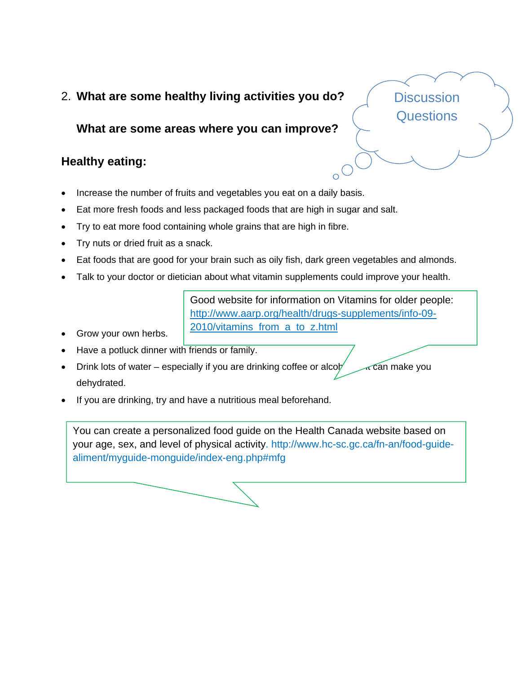#### 2. **What are some healthy living activities you do?**

#### **What are some areas where you can improve?**

### **Healthy eating:**

- Increase the number of fruits and vegetables you eat on a daily basis.
- Eat more fresh foods and less packaged foods that are high in sugar and salt.
- Try to eat more food containing whole grains that are high in fibre.
- Try nuts or dried fruit as a snack.
- Eat foods that are good for your brain such as oily fish, dark green vegetables and almonds.
- Talk to your doctor or dietician about what vitamin supplements could improve your health.

Good website for information on Vitamins for older people: http://www.aarp.org/health/drugs-supplements/info-09- 2010/vitamins\_from\_a\_to\_z.html

- Grow your own herbs.
- Have a potluck dinner with friends or family.
- Drink lots of water especially if you are drinking coffee or alcohol as  $\sim$  can make you dehydrated.
- If you are drinking, try and have a nutritious meal beforehand.

You can create a personalized food guide on the Health Canada website based on your age, sex, and level of physical activity. http://www.hc-sc.gc.ca/fn-an/food-guidealiment/myguide-monguide/index-eng.php#mfg

**Discussion Questions**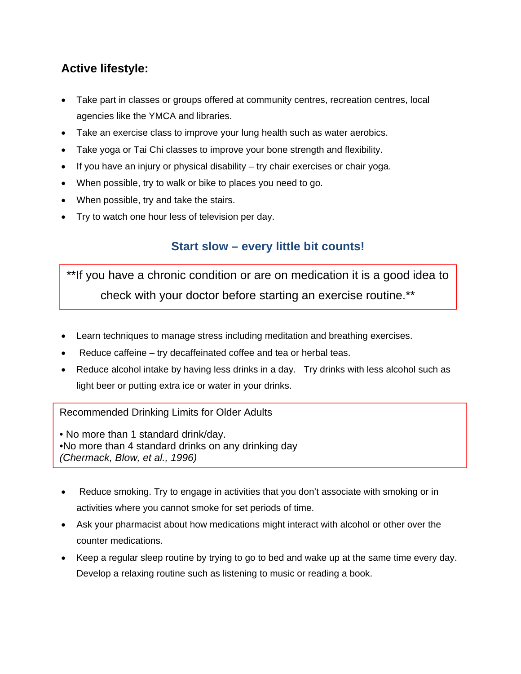## **Active lifestyle:**

- Take part in classes or groups offered at community centres, recreation centres, local agencies like the YMCA and libraries.
- Take an exercise class to improve your lung health such as water aerobics.
- Take yoga or Tai Chi classes to improve your bone strength and flexibility.
- $\bullet$  If you have an injury or physical disability try chair exercises or chair yoga.
- When possible, try to walk or bike to places you need to go.
- When possible, try and take the stairs.
- Try to watch one hour less of television per day.

### **Start slow – every little bit counts!**

**Health Healt** \*\*If you have a chronic condition or are on medication it is a good idea to check with your doctor before starting an exercise routine.\*\*

- Learn techniques to manage stress including meditation and breathing exercises.
- Reduce caffeine try decaffeinated coffee and tea or herbal teas.
- Reduce alcohol intake by having less drinks in a day. Try drinks with less alcohol such as light beer or putting extra ice or water in your drinks.

Recommended Drinking Limits for Older Adults

• No more than 1 standard drink/day. •No more than 4 standard drinks on any drinking day *(Chermack, Blow, et al., 1996)*

- Reduce smoking. Try to engage in activities that you don't associate with smoking or in activities where you cannot smoke for set periods of time.
- Ask your pharmacist about how medications might interact with alcohol or other over the counter medications.
- Keep a regular sleep routine by trying to go to bed and wake up at the same time every day. Develop a relaxing routine such as listening to music or reading a book.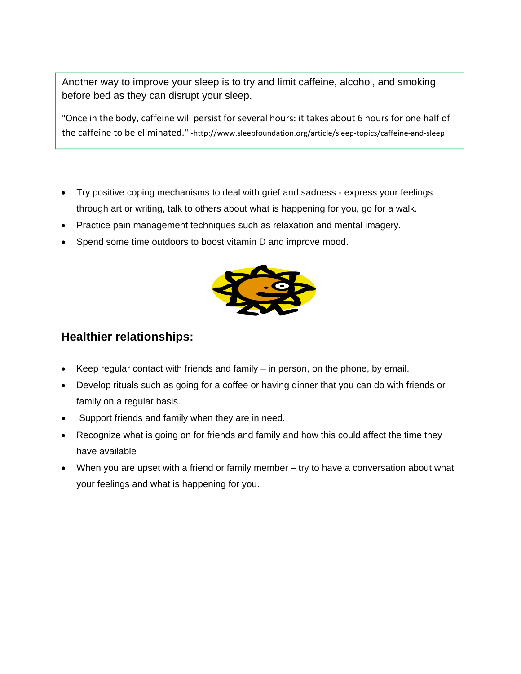Another way to improve your sleep is to try and limit caffeine, alcohol, and smoking before bed as they can disrupt your sleep.

"Once in the body, caffeine will persist for several hours: it takes about 6 hours for one half of the caffeine to be eliminated." ‐http://www.sleepfoundation.org/article/sleep‐topics/caffeine‐and‐sleep

- Try positive coping mechanisms to deal with grief and sadness express your feelings through art or writing, talk to others about what is happening for you, go for a walk.
- Practice pain management techniques such as relaxation and mental imagery.
- Spend some time outdoors to boost vitamin D and improve mood.



#### **Healthier relationships:**

- Keep regular contact with friends and family in person, on the phone, by email.
- Develop rituals such as going for a coffee or having dinner that you can do with friends or family on a regular basis.
- Support friends and family when they are in need.
- Recognize what is going on for friends and family and how this could affect the time they have available
- When you are upset with a friend or family member try to have a conversation about what your feelings and what is happening for you.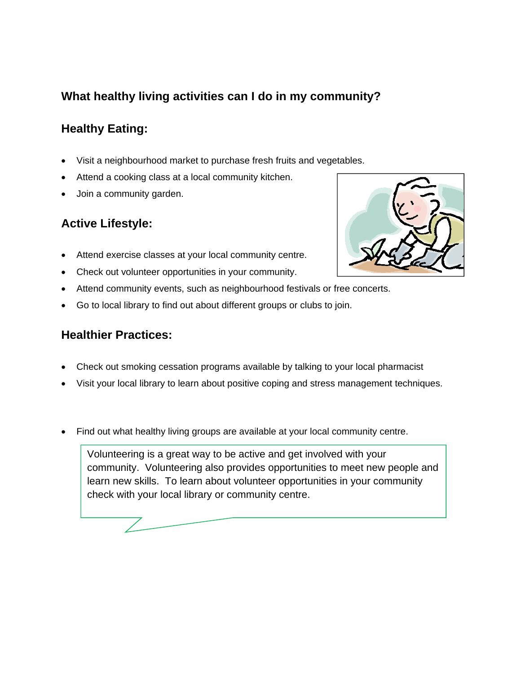## **What healthy living activities can I do in my community?**

# **Healthy Eating:**

- Visit a neighbourhood market to purchase fresh fruits and vegetables.
- Attend a cooking class at a local community kitchen.
- Join a community garden.

### **Active Lifestyle:**

- Attend exercise classes at your local community centre.
- Check out volunteer opportunities in your community.
- Attend community events, such as neighbourhood festivals or free concerts.
- Go to local library to find out about different groups or clubs to join.

#### **Healthier Practices:**

- Check out smoking cessation programs available by talking to your local pharmacist
- Visit your local library to learn about positive coping and stress management techniques.
- Find out what healthy living groups are available at your local community centre.

Volunteering is a great way to be active and get involved with your community. Volunteering also provides opportunities to meet new people and learn new skills. To learn about volunteer opportunities in your community check with your local library or community centre.

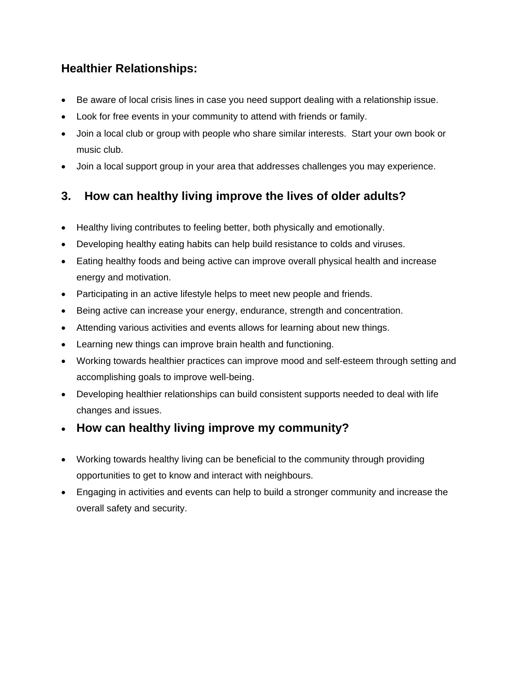## **Healthier Relationships:**

- Be aware of local crisis lines in case you need support dealing with a relationship issue.
- Look for free events in your community to attend with friends or family.
- Join a local club or group with people who share similar interests. Start your own book or music club.
- Join a local support group in your area that addresses challenges you may experience.

## **3. How can healthy living improve the lives of older adults?**

- Healthy living contributes to feeling better, both physically and emotionally.
- Developing healthy eating habits can help build resistance to colds and viruses.
- Eating healthy foods and being active can improve overall physical health and increase energy and motivation.
- Participating in an active lifestyle helps to meet new people and friends.
- Being active can increase your energy, endurance, strength and concentration.
- Attending various activities and events allows for learning about new things.
- Learning new things can improve brain health and functioning.
- Working towards healthier practices can improve mood and self-esteem through setting and accomplishing goals to improve well-being.
- Developing healthier relationships can build consistent supports needed to deal with life changes and issues.
- **How can healthy living improve my community?**
- Working towards healthy living can be beneficial to the community through providing opportunities to get to know and interact with neighbours.
- Engaging in activities and events can help to build a stronger community and increase the overall safety and security.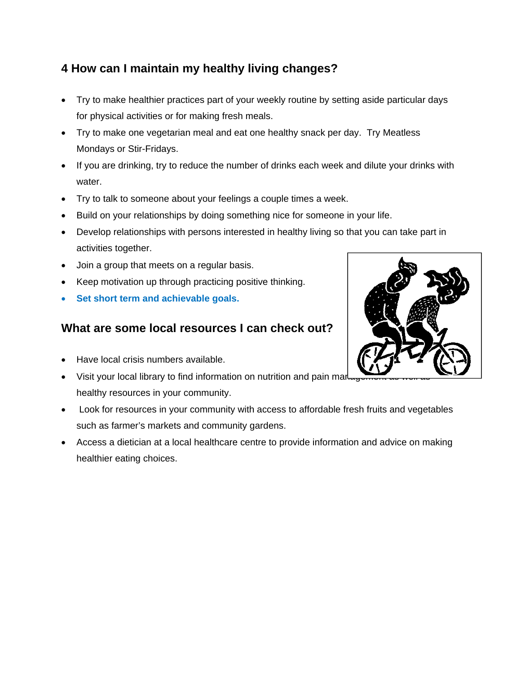# **4 How can I maintain my healthy living changes?**

- Try to make healthier practices part of your weekly routine by setting aside particular days for physical activities or for making fresh meals.
- Try to make one vegetarian meal and eat one healthy snack per day. Try Meatless Mondays or Stir-Fridays.
- If you are drinking, try to reduce the number of drinks each week and dilute your drinks with water.
- Try to talk to someone about your feelings a couple times a week.
- Build on your relationships by doing something nice for someone in your life.
- Develop relationships with persons interested in healthy living so that you can take part in activities together.
- Join a group that meets on a regular basis.
- Keep motivation up through practicing positive thinking.
- **Set short term and achievable goals.**

### **What are some local resources I can check out?**

- Have local crisis numbers available.
- Visit your local library to find information on nutrition and pain mar healthy resources in your community.
- Look for resources in your community with access to affordable fresh fruits and vegetables such as farmer's markets and community gardens.
- Access a dietician at a local healthcare centre to provide information and advice on making healthier eating choices.